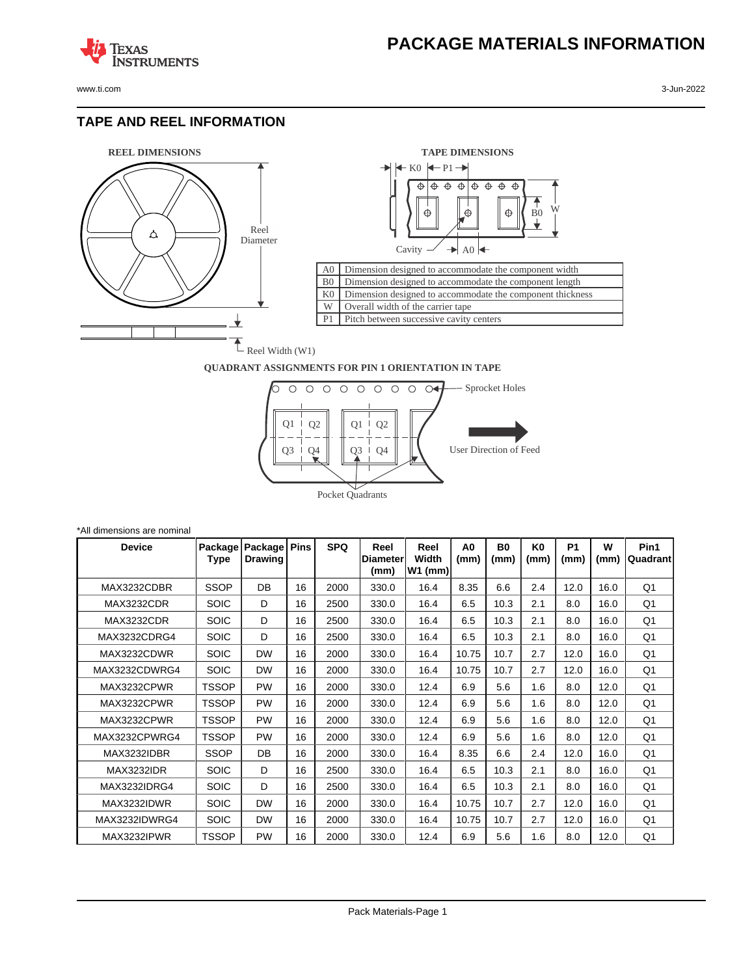**TEXAS** 

#### **TAPE AND REEL INFORMATION**

**ISTRUMENTS** 





#### **QUADRANT ASSIGNMENTS FOR PIN 1 ORIENTATION IN TAPE**



| *All dimensions are nominal |                 |                           |             |            |                                  |                            |                        |                   |            |                   |           |                  |
|-----------------------------|-----------------|---------------------------|-------------|------------|----------------------------------|----------------------------|------------------------|-------------------|------------|-------------------|-----------|------------------|
| <b>Device</b>               | Package<br>Type | Package<br><b>Drawing</b> | <b>Pins</b> | <b>SPQ</b> | Reel<br><b>IDiameter</b><br>(mm) | Reel<br>Width<br>$W1$ (mm) | A <sub>0</sub><br>(mm) | <b>B0</b><br>(mm) | K0<br>(mm) | <b>P1</b><br>(mm) | W<br>(mm) | Pin1<br>Quadrant |
| MAX3232CDBR                 | <b>SSOP</b>     | DB                        | 16          | 2000       | 330.0                            | 16.4                       | 8.35                   | 6.6               | 2.4        | 12.0              | 16.0      | Q <sub>1</sub>   |
| MAX3232CDR                  | <b>SOIC</b>     | D                         | 16          | 2500       | 330.0                            | 16.4                       | 6.5                    | 10.3              | 2.1        | 8.0               | 16.0      | Q1               |
| MAX3232CDR                  | <b>SOIC</b>     | D                         | 16          | 2500       | 330.0                            | 16.4                       | 6.5                    | 10.3              | 2.1        | 8.0               | 16.0      | Q <sub>1</sub>   |
| MAX3232CDRG4                | <b>SOIC</b>     | D                         | 16          | 2500       | 330.0                            | 16.4                       | 6.5                    | 10.3              | 2.1        | 8.0               | 16.0      | Q <sub>1</sub>   |
| MAX3232CDWR                 | <b>SOIC</b>     | <b>DW</b>                 | 16          | 2000       | 330.0                            | 16.4                       | 10.75                  | 10.7              | 2.7        | 12.0              | 16.0      | Q <sub>1</sub>   |
| MAX3232CDWRG4               | <b>SOIC</b>     | <b>DW</b>                 | 16          | 2000       | 330.0                            | 16.4                       | 10.75                  | 10.7              | 2.7        | 12.0              | 16.0      | Q <sub>1</sub>   |
| MAX3232CPWR                 | <b>TSSOP</b>    | <b>PW</b>                 | 16          | 2000       | 330.0                            | 12.4                       | 6.9                    | 5.6               | 1.6        | 8.0               | 12.0      | Q <sub>1</sub>   |
| MAX3232CPWR                 | <b>TSSOP</b>    | <b>PW</b>                 | 16          | 2000       | 330.0                            | 12.4                       | 6.9                    | 5.6               | 1.6        | 8.0               | 12.0      | Q <sub>1</sub>   |
| MAX3232CPWR                 | <b>TSSOP</b>    | <b>PW</b>                 | 16          | 2000       | 330.0                            | 12.4                       | 6.9                    | 5.6               | 1.6        | 8.0               | 12.0      | Q <sub>1</sub>   |
| MAX3232CPWRG4               | <b>TSSOP</b>    | <b>PW</b>                 | 16          | 2000       | 330.0                            | 12.4                       | 6.9                    | 5.6               | 1.6        | 8.0               | 12.0      | Q <sub>1</sub>   |
| MAX3232IDBR                 | <b>SSOP</b>     | DB                        | 16          | 2000       | 330.0                            | 16.4                       | 8.35                   | 6.6               | 2.4        | 12.0              | 16.0      | Q <sub>1</sub>   |
| <b>MAX3232IDR</b>           | <b>SOIC</b>     | D                         | 16          | 2500       | 330.0                            | 16.4                       | 6.5                    | 10.3              | 2.1        | 8.0               | 16.0      | Q <sub>1</sub>   |
| MAX3232IDRG4                | <b>SOIC</b>     | D                         | 16          | 2500       | 330.0                            | 16.4                       | 6.5                    | 10.3              | 2.1        | 8.0               | 16.0      | Q <sub>1</sub>   |
| MAX3232IDWR                 | <b>SOIC</b>     | <b>DW</b>                 | 16          | 2000       | 330.0                            | 16.4                       | 10.75                  | 10.7              | 2.7        | 12.0              | 16.0      | Q <sub>1</sub>   |
| MAX3232IDWRG4               | <b>SOIC</b>     | <b>DW</b>                 | 16          | 2000       | 330.0                            | 16.4                       | 10.75                  | 10.7              | 2.7        | 12.0              | 16.0      | Q1               |
| MAX3232IPWR                 | <b>TSSOP</b>    | PW                        | 16          | 2000       | 330.0                            | 12.4                       | 6.9                    | 5.6               | 1.6        | 8.0               | 12.0      | Q <sub>1</sub>   |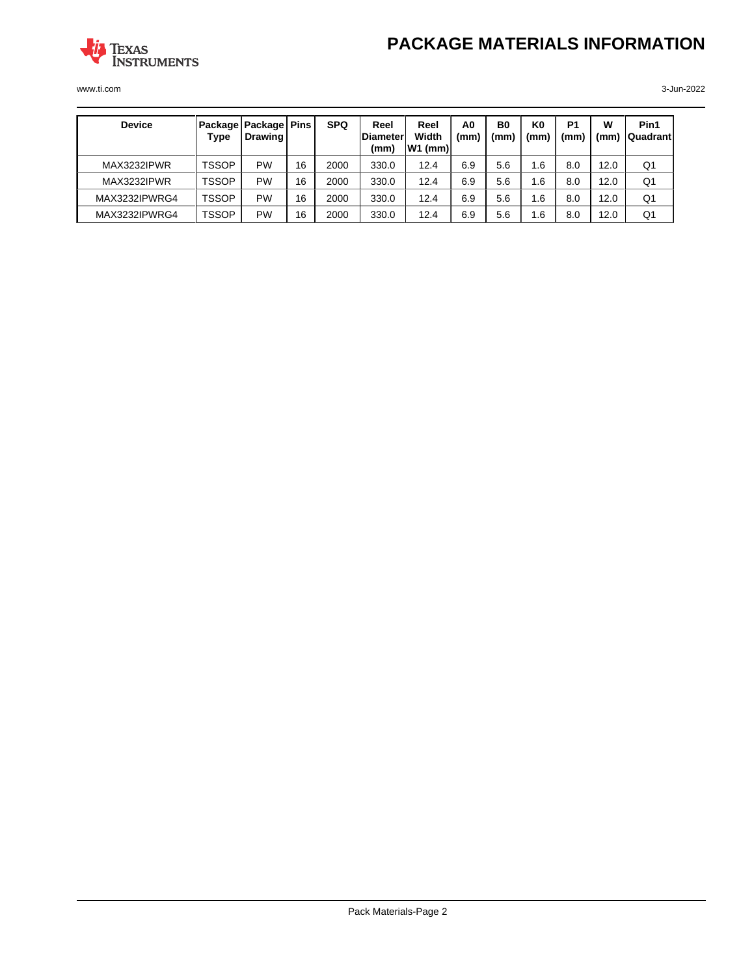



| <b>Device</b> | Type         | Package   Package   Pins<br>Drawing I |    | <b>SPQ</b> | Reel<br>Diameter<br>(mm) | Reel<br>Width<br>W1 (mm) | A <sub>0</sub><br>(mm) | B <sub>0</sub><br>(mm | K0<br>(mm' | P <sub>1</sub><br>(mm) | w<br>(mm) | Pin1<br><b>IQuadrantI</b> |
|---------------|--------------|---------------------------------------|----|------------|--------------------------|--------------------------|------------------------|-----------------------|------------|------------------------|-----------|---------------------------|
| MAX3232IPWR   | <b>TSSOP</b> | PW                                    | 16 | 2000       | 330.0                    | 12.4                     | 6.9                    | 5.6                   | . 6        | 8.0                    | 12.0      | Q <sub>1</sub>            |
| MAX3232IPWR   | TSSOP        | PW                                    | 16 | 2000       | 330.0                    | 12.4                     | 6.9                    | 5.6                   | . 6        | 8.0                    | 12.0      | Q1                        |
| MAX3232IPWRG4 | TSSOP        | PW                                    | 16 | 2000       | 330.0                    | 12.4                     | 6.9                    | 5.6                   | . 6        | 8.0                    | 12.0      | Q <sub>1</sub>            |
| MAX3232IPWRG4 | TSSOP        | PW                                    | 16 | 2000       | 330.0                    | 12.4                     | 6.9                    | 5.6                   | . 6        | 8.0                    | 12.0      | Q1                        |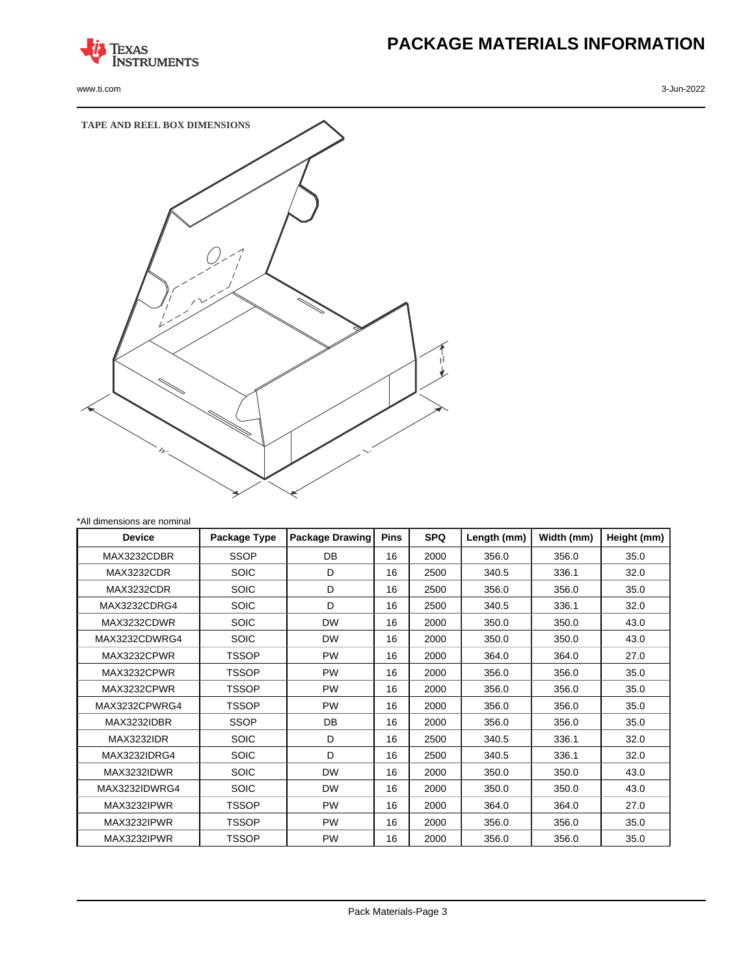

# **PACKAGE MATERIALS INFORMATION**



| <b>Device</b>     | Package Type | <b>Package Drawing</b> | <b>Pins</b> | <b>SPQ</b> | Length (mm) | Width (mm) | Height (mm) |
|-------------------|--------------|------------------------|-------------|------------|-------------|------------|-------------|
| MAX3232CDBR       | <b>SSOP</b>  | <b>DB</b>              | 16          | 2000       | 356.0       | 356.0      | 35.0        |
| <b>MAX3232CDR</b> | <b>SOIC</b>  | D                      | 16          | 2500       | 340.5       | 336.1      | 32.0        |
| MAX3232CDR        | <b>SOIC</b>  | D                      | 16          | 2500       | 356.0       | 356.0      | 35.0        |
| MAX3232CDRG4      | <b>SOIC</b>  | D                      | 16          | 2500       | 340.5       | 336.1      | 32.0        |
| MAX3232CDWR       | <b>SOIC</b>  | <b>DW</b>              | 16          | 2000       | 350.0       | 350.0      | 43.0        |
| MAX3232CDWRG4     | <b>SOIC</b>  | <b>DW</b>              | 16          | 2000       | 350.0       | 350.0      | 43.0        |
| MAX3232CPWR       | TSSOP        | <b>PW</b>              | 16          | 2000       | 364.0       | 364.0      | 27.0        |
| MAX3232CPWR       | TSSOP        | <b>PW</b>              | 16          | 2000       | 356.0       | 356.0      | 35.0        |
| MAX3232CPWR       | TSSOP        | <b>PW</b>              | 16          | 2000       | 356.0       | 356.0      | 35.0        |
| MAX3232CPWRG4     | TSSOP        | <b>PW</b>              | 16          | 2000       | 356.0       | 356.0      | 35.0        |
| MAX3232IDBR       | <b>SSOP</b>  | DB                     | 16          | 2000       | 356.0       | 356.0      | 35.0        |
| <b>MAX3232IDR</b> | <b>SOIC</b>  | D                      | 16          | 2500       | 340.5       | 336.1      | 32.0        |
| MAX3232IDRG4      | <b>SOIC</b>  | D                      | 16          | 2500       | 340.5       | 336.1      | 32.0        |
| MAX3232IDWR       | <b>SOIC</b>  | <b>DW</b>              | 16          | 2000       | 350.0       | 350.0      | 43.0        |
| MAX3232IDWRG4     | <b>SOIC</b>  | <b>DW</b>              | 16          | 2000       | 350.0       | 350.0      | 43.0        |
| MAX3232IPWR       | TSSOP        | <b>PW</b>              | 16          | 2000       | 364.0       | 364.0      | 27.0        |
| MAX3232IPWR       | TSSOP        | <b>PW</b>              | 16          | 2000       | 356.0       | 356.0      | 35.0        |
| MAX3232IPWR       | TSSOP        | <b>PW</b>              | 16          | 2000       | 356.0       | 356.0      | 35.0        |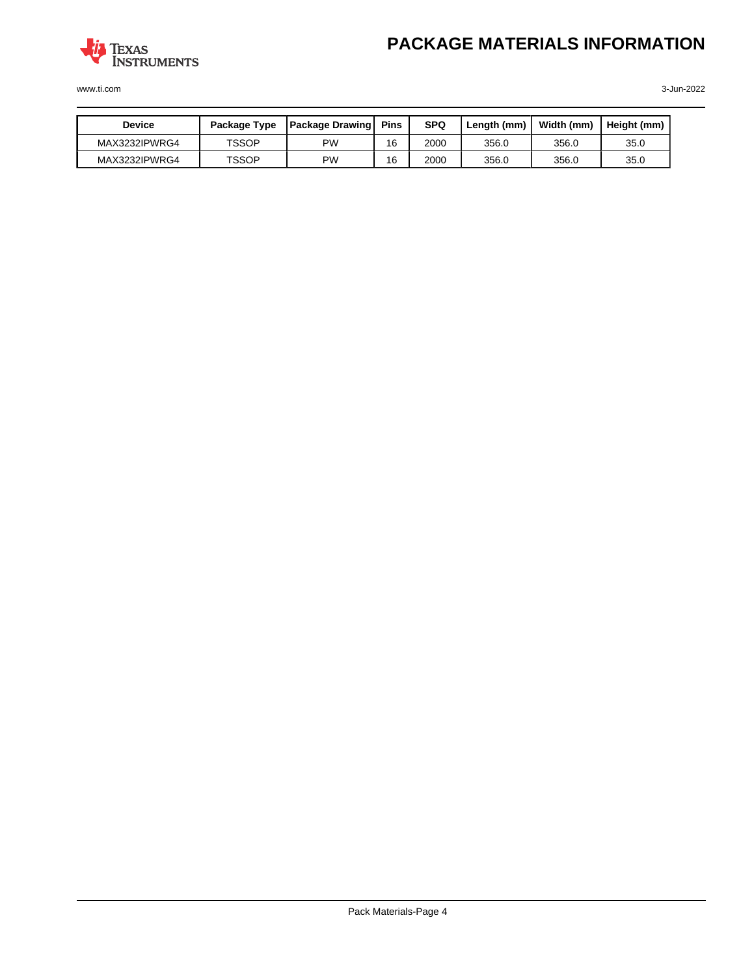

| Device        | Package Type | <b>Package Drawing</b> | Pins | <b>SPQ</b> | Lenath (mm) | Width (mm) | Height (mm) |
|---------------|--------------|------------------------|------|------------|-------------|------------|-------------|
| MAX3232IPWRG4 | TSSOP        | PW                     | 16   | 2000       | 356.0       | 356.0      | 35.0        |
| MAX3232IPWRG4 | TSSOP        | PW                     | 16   | 2000       | 356.0       | 356.0      | 35.0        |